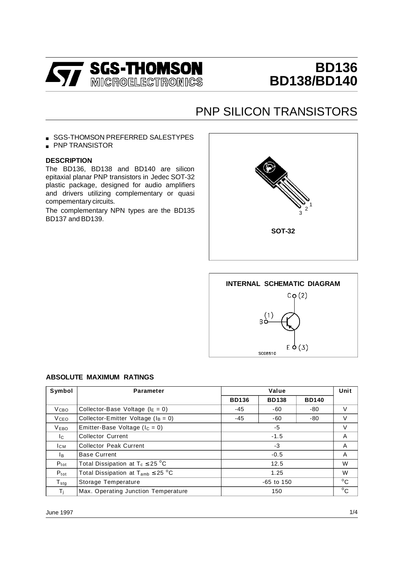

# **BD136 BD138/BD140**

## PNP SILICON TRANSISTORS

- SGS-THOMSON PREFERRED SALESTYPES
- PNP TRANSISTOR

#### **DESCRIPTION**

The BD136, BD138 and BD140 are silicon epitaxial planar PNP transistors in Jedec SOT-32 plastic package, designed for audio amplifiers and drivers utilizing complementary or quasi compementary circuits.

The complementary NPN types are the BD135 BD137 and BD139.





#### **ABSOLUTE MAXIMUM RATINGS**

| Symbol           | <b>Parameter</b>                          | Value                                        |     |     | Unit         |
|------------------|-------------------------------------------|----------------------------------------------|-----|-----|--------------|
|                  |                                           | <b>BD136</b><br><b>BD140</b><br><b>BD138</b> |     |     |              |
| V <sub>CBO</sub> | Collector-Base Voltage ( $I_E = 0$ )      | $-45$                                        | -60 | -80 | V            |
| <b>V</b> ceo     | Collector-Emitter Voltage ( $I_B = 0$ )   | $-45$                                        | -80 | V   |              |
| V <sub>EBO</sub> | Emitter-Base Voltage ( $I_c = 0$ )        | $-5$                                         |     |     | V            |
| Ic.              | <b>Collector Current</b>                  | $-1.5$                                       |     |     | A            |
| <b>ICM</b>       | <b>Collector Peak Current</b>             | $-3$                                         |     |     | A            |
| lв.              | <b>Base Current</b>                       | $-0.5$                                       |     |     | A            |
| $P_{\text{tot}}$ | Total Dissipation at $T_c \leq 25$ °C     | 12.5                                         |     |     | W            |
| $P_{\text{tot}}$ | Total Dissipation at $T_{amb} \leq 25$ °C | 1.25                                         |     |     | W            |
| $T_{\text{stg}}$ | Storage Temperature                       | $-65$ to 150                                 |     |     | $^{\circ}$ C |
| $T_i$            | Max. Operating Junction Temperature       | 150                                          |     |     | $^{\circ}$ C |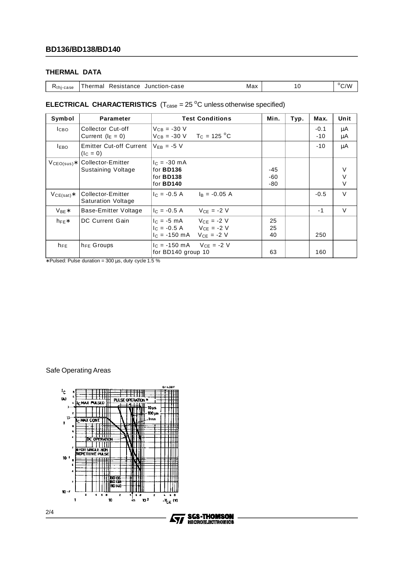## **THERMAL DATA**

|  | $Rthi - case$ | Junction-case<br>Resistance<br>Thermal | Max |  | $^{\circ}$ C/W |
|--|---------------|----------------------------------------|-----|--|----------------|
|--|---------------|----------------------------------------|-----|--|----------------|

### **ELECTRICAL CHARACTERISTICS**  $(T_{\text{case}} = 25 \degree C \text{ unless otherwise specified})$

| Symbol          | <b>Parameter</b>                               | <b>Test Conditions</b>                                                                                          | Min.                  | Typ. | Max.            | Unit                  |
|-----------------|------------------------------------------------|-----------------------------------------------------------------------------------------------------------------|-----------------------|------|-----------------|-----------------------|
| $_{\rm LBO}$    | Collector Cut-off<br>Current $(I_E = 0)$       | $V_{CB} = -30 V$<br>$V_{CB} = -30 \text{ V}$ T <sub>C</sub> = 125 °C                                            |                       |      | $-0.1$<br>$-10$ | μA<br>μA              |
| <b>LEBO</b>     | <b>Emitter Cut-off Current</b><br>$(lC = 0)$   | $V_{FB} = -5 V$                                                                                                 |                       |      | $-10$           | μA                    |
| $V_{CEO(sus)*}$ | Collector-Emitter<br>Sustaining Voltage        | $I_C = -30$ mA<br>for <b>BD136</b><br>for <b>BD138</b><br>for <b>BD140</b>                                      | $-45$<br>-60<br>$-80$ |      |                 | V<br>$\vee$<br>$\vee$ |
| $V_{CE(sat)}$ * | Collector-Emitter<br><b>Saturation Voltage</b> | $I_R = -0.05 A$<br>$I_C = -0.5 A$                                                                               |                       |      | $-0.5$          | $\vee$                |
| $V_{BE}$ *      | Base-Emitter Voltage                           | $V_{CE} = -2 V$<br>$I_c = -0.5 A$                                                                               |                       |      | $-1$            | $\vee$                |
| $h_{FE}$        | DC Current Gain                                | $I_C = -5$ mA $V_{CF} = -2$ V<br>$ c  = -0.5 A$ $Vce = -2 V$<br>$I_C = -150 \text{ mA}$ $V_{CE} = -2 \text{ V}$ | 25<br>25<br>40        |      | 250             |                       |
| $h_{FE}$        | $h_{FE}$ Groups                                | $I_C = -150 \text{ mA}$ $V_{CE} = -2 V$<br>for BD140 group 10                                                   | 63                    |      | 160             |                       |

∗ Pulsed: Pulse duration = 300 µs, duty cycle 1.5 %

Safe Operating Areas



**SGS-THOMSON<br>NICROELECTRONICS** 57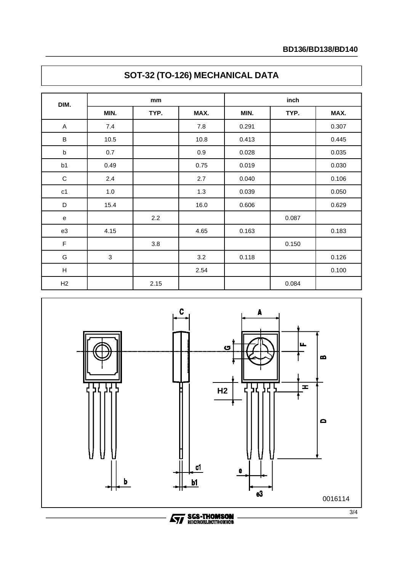| DIM.                      | mm         |      |      | inch  |       |       |  |
|---------------------------|------------|------|------|-------|-------|-------|--|
|                           | MIN.       | TYP. | MAX. | MIN.  | TYP.  | MAX.  |  |
| A                         | 7.4        |      | 7.8  | 0.291 |       | 0.307 |  |
| B                         | 10.5       |      | 10.8 | 0.413 |       | 0.445 |  |
| $\sf b$                   | 0.7        |      | 0.9  | 0.028 |       | 0.035 |  |
| b1                        | 0.49       |      | 0.75 | 0.019 |       | 0.030 |  |
| $\mathsf C$               | 2.4        |      | 2.7  | 0.040 |       | 0.106 |  |
| c1                        | $1.0$      |      | 1.3  | 0.039 |       | 0.050 |  |
| D                         | 15.4       |      | 16.0 | 0.606 |       | 0.629 |  |
| ${\bf e}$                 |            | 2.2  |      |       | 0.087 |       |  |
| e3                        | 4.15       |      | 4.65 | 0.163 |       | 0.183 |  |
| $\mathsf F$               |            | 3.8  |      |       | 0.150 |       |  |
| G                         | $\sqrt{3}$ |      | 3.2  | 0.118 |       | 0.126 |  |
| $\boldsymbol{\mathsf{H}}$ |            |      | 2.54 |       |       | 0.100 |  |
| H2                        |            | 2.15 |      |       | 0.084 |       |  |





**Ayy SGS-THOMSON**<br>Reformation